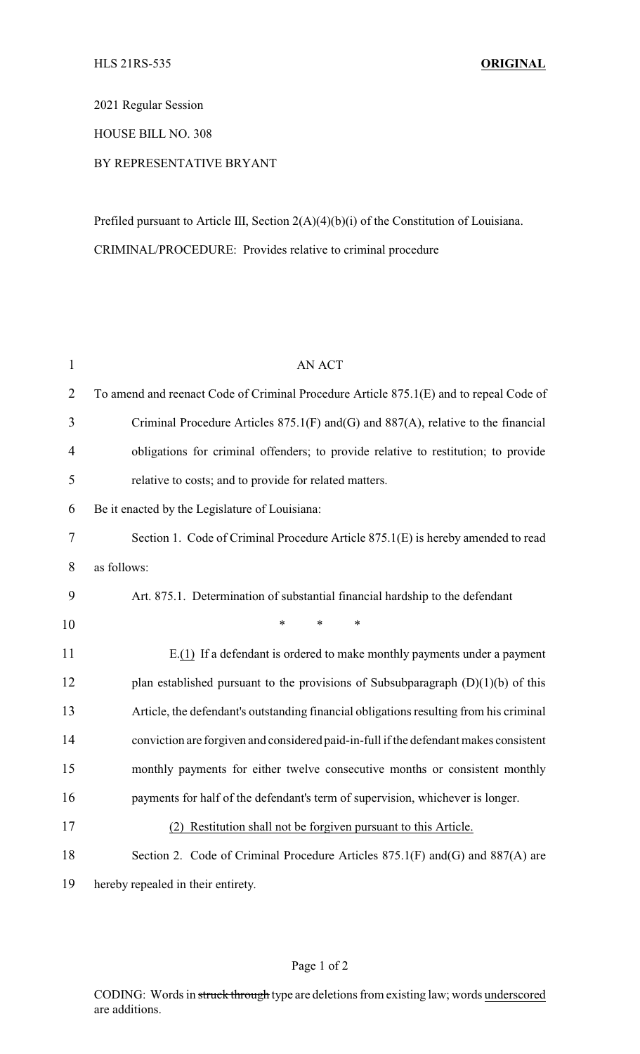2021 Regular Session

HOUSE BILL NO. 308

## BY REPRESENTATIVE BRYANT

Prefiled pursuant to Article III, Section 2(A)(4)(b)(i) of the Constitution of Louisiana. CRIMINAL/PROCEDURE: Provides relative to criminal procedure

| $\mathbf{1}$   | <b>AN ACT</b>                                                                             |
|----------------|-------------------------------------------------------------------------------------------|
| $\overline{2}$ | To amend and reenact Code of Criminal Procedure Article 875.1(E) and to repeal Code of    |
| 3              | Criminal Procedure Articles $875.1(F)$ and $(G)$ and $887(A)$ , relative to the financial |
| $\overline{4}$ | obligations for criminal offenders; to provide relative to restitution; to provide        |
| 5              | relative to costs; and to provide for related matters.                                    |
| 6              | Be it enacted by the Legislature of Louisiana:                                            |
| 7              | Section 1. Code of Criminal Procedure Article 875.1(E) is hereby amended to read          |
| 8              | as follows:                                                                               |
| 9              | Art. 875.1. Determination of substantial financial hardship to the defendant              |
| 10             | $\ast$<br>*<br>$\ast$                                                                     |
| 11             | $E(1)$ If a defendant is ordered to make monthly payments under a payment                 |
| 12             | plan established pursuant to the provisions of Subsubparagraph $(D)(1)(b)$ of this        |
| 13             | Article, the defendant's outstanding financial obligations resulting from his criminal    |
| 14             | conviction are forgiven and considered paid-in-full if the defendant makes consistent     |
| 15             | monthly payments for either twelve consecutive months or consistent monthly               |
| 16             | payments for half of the defendant's term of supervision, whichever is longer.            |
| 17             | (2) Restitution shall not be forgiven pursuant to this Article.                           |
| 18             | Section 2. Code of Criminal Procedure Articles 875.1(F) and (G) and 887(A) are            |
| 19             | hereby repealed in their entirety.                                                        |